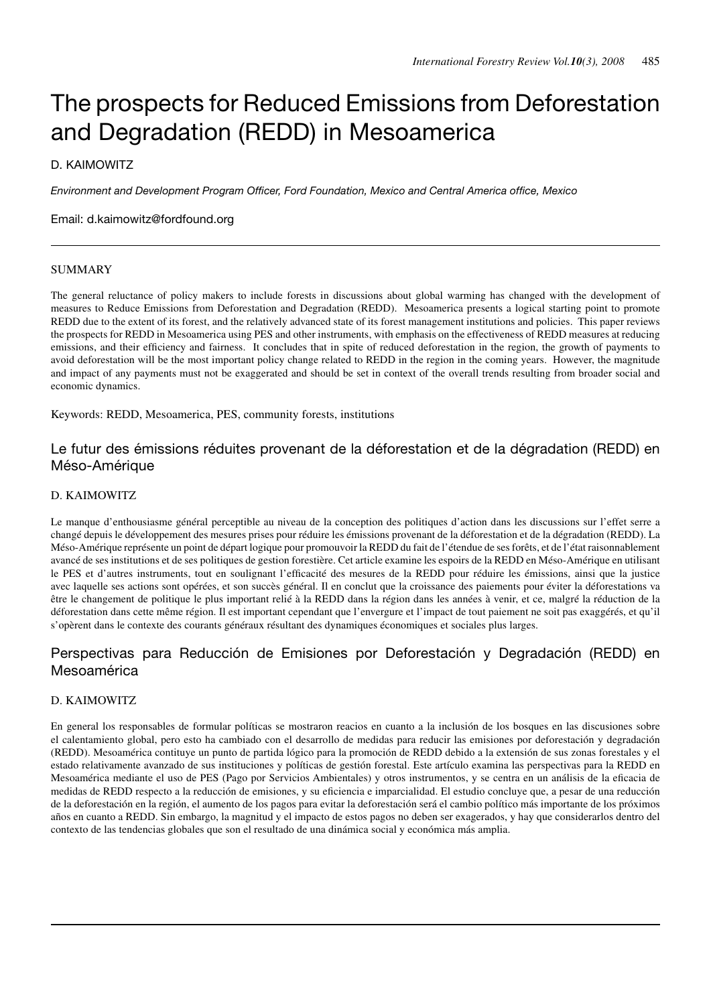# The prospects for Reduced Emissions from Deforestation and Degradation (REDD) in Mesoamerica

# D. KAIMOWITZ

Environment and Development Program Officer, Ford Foundation, Mexico and Central America office, Mexico

# Email: d.kaimowitz@fordfound.org

## SUMMARY

The general reluctance of policy makers to include forests in discussions about global warming has changed with the development of measures to Reduce Emissions from Deforestation and Degradation (REDD). Mesoamerica presents a logical starting point to promote REDD due to the extent of its forest, and the relatively advanced state of its forest management institutions and policies. This paper reviews the prospects for REDD in Mesoamerica using PES and other instruments, with emphasis on the effectiveness of REDD measures at reducing emissions, and their efficiency and fairness. It concludes that in spite of reduced deforestation in the region, the growth of payments to avoid deforestation will be the most important policy change related to REDD in the region in the coming years. However, the magnitude and impact of any payments must not be exaggerated and should be set in context of the overall trends resulting from broader social and economic dynamics.

Keywords: REDD, Mesoamerica, PES, community forests, institutions

# Le futur des émissions réduites provenant de la déforestation et de la dégradation (REDD) en Méso-Amérique

# D. KAIMOWITZ

Le manque d'enthousiasme général perceptible au niveau de la conception des politiques d'action dans les discussions sur l'effet serre a changé depuis le développement des mesures prises pour réduire les émissions provenant de la déforestation et de la dégradation (REDD). La Méso-Amérique représente un point de départ logique pour promouvoir la REDD du fait de l'étendue de ses forêts, et de l'état raisonnablement avancé de ses institutions et de ses politiques de gestion forestière. Cet article examine les espoirs de la REDD en Méso-Amérique en utilisant le PES et d'autres instruments, tout en soulignant l'efficacité des mesures de la REDD pour réduire les émissions, ainsi que la justice avec laquelle ses actions sont opérées, et son succès général. Il en conclut que la croissance des paiements pour éviter la déforestations va être le changement de politique le plus important relié à la REDD dans la région dans les années à venir, et ce, malgré la réduction de la déforestation dans cette même région. Il est important cependant que l'envergure et l'impact de tout paiement ne soit pas exaggérés, et qu'il s'opèrent dans le contexte des courants généraux résultant des dynamiques économiques et sociales plus larges.

# Perspectivas para Reducción de Emisiones por Deforestación y Degradación (REDD) en Mesoamérica

# D. KAIMOWITZ

En general los responsables de formular políticas se mostraron reacios en cuanto a la inclusión de los bosques en las discusiones sobre el calentamiento global, pero esto ha cambiado con el desarrollo de medidas para reducir las emisiones por deforestación y degradación (REDD). Mesoamérica contituye un punto de partida lógico para la promoción de REDD debido a la extensión de sus zonas forestales y el estado relativamente avanzado de sus instituciones y políticas de gestión forestal. Este artículo examina las perspectivas para la REDD en Mesoamérica mediante el uso de PES (Pago por Servicios Ambientales) y otros instrumentos, y se centra en un análisis de la eficacia de medidas de REDD respecto a la reducción de emisiones, y su eficiencia e imparcialidad. El estudio concluye que, a pesar de una reducción de la deforestación en la región, el aumento de los pagos para evitar la deforestación será el cambio político más importante de los próximos años en cuanto a REDD. Sin embargo, la magnitud y el impacto de estos pagos no deben ser exagerados, y hay que considerarlos dentro del contexto de las tendencias globales que son el resultado de una dinámica social y económica más amplia.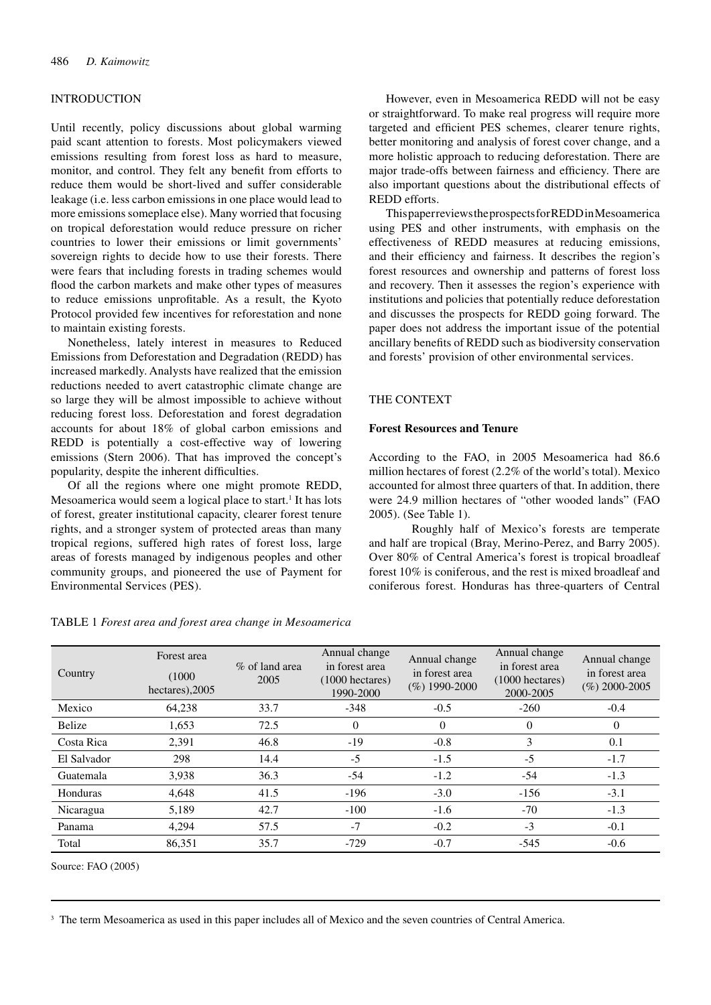# INTRODUCTION

Until recently, policy discussions about global warming paid scant attention to forests. Most policymakers viewed emissions resulting from forest loss as hard to measure, monitor, and control. They felt any benefit from efforts to reduce them would be short-lived and suffer considerable leakage (i.e. less carbon emissions in one place would lead to more emissions someplace else). Many worried that focusing on tropical deforestation would reduce pressure on richer countries to lower their emissions or limit governments' sovereign rights to decide how to use their forests. There were fears that including forests in trading schemes would flood the carbon markets and make other types of measures to reduce emissions unprofitable. As a result, the Kyoto Protocol provided few incentives for reforestation and none to maintain existing forests.

Nonetheless, lately interest in measures to Reduced Emissions from Deforestation and Degradation (REDD) has increased markedly. Analysts have realized that the emission reductions needed to avert catastrophic climate change are so large they will be almost impossible to achieve without reducing forest loss. Deforestation and forest degradation accounts for about 18% of global carbon emissions and REDD is potentially a cost-effective way of lowering emissions (Stern 2006). That has improved the concept's popularity, despite the inherent difficulties.

Of all the regions where one might promote REDD, Mesoamerica would seem a logical place to start.<sup>1</sup> It has lots of forest, greater institutional capacity, clearer forest tenure rights, and a stronger system of protected areas than many tropical regions, suffered high rates of forest loss, large areas of forests managed by indigenous peoples and other community groups, and pioneered the use of Payment for Environmental Services (PES).

However, even in Mesoamerica REDD will not be easy or straightforward. To make real progress will require more targeted and efficient PES schemes, clearer tenure rights, better monitoring and analysis of forest cover change, and a more holistic approach to reducing deforestation. There are major trade-offs between fairness and efficiency. There are also important questions about the distributional effects of REDD efforts.

This paper reviews the prospects for REDD in Mesoamerica using PES and other instruments, with emphasis on the effectiveness of REDD measures at reducing emissions, and their efficiency and fairness. It describes the region's forest resources and ownership and patterns of forest loss and recovery. Then it assesses the region's experience with institutions and policies that potentially reduce deforestation and discusses the prospects for REDD going forward. The paper does not address the important issue of the potential ancillary benefits of REDD such as biodiversity conservation and forests' provision of other environmental services.

#### THE CONTEXT

#### **Forest Resources and Tenure**

According to the FAO, in 2005 Mesoamerica had 86.6 million hectares of forest (2.2% of the world's total). Mexico accounted for almost three quarters of that. In addition, there were 24.9 million hectares of "other wooded lands" (FAO 2005). (See Table 1).

Roughly half of Mexico's forests are temperate and half are tropical (Bray, Merino-Perez, and Barry 2005). Over 80% of Central America's forest is tropical broadleaf forest 10% is coniferous, and the rest is mixed broadleaf and coniferous forest. Honduras has three-quarters of Central

| Country       | Forest area<br>(1000)<br>hectares), 2005 | % of land area<br>2005 | Annual change<br>in forest area<br>$(1000)$ hectares)<br>1990-2000 | Annual change<br>in forest area<br>$(\%)$ 1990-2000 | Annual change<br>in forest area<br>$(1000)$ hectares)<br>2000-2005 | Annual change<br>in forest area<br>$(\%)$ 2000-2005 |
|---------------|------------------------------------------|------------------------|--------------------------------------------------------------------|-----------------------------------------------------|--------------------------------------------------------------------|-----------------------------------------------------|
| Mexico        | 64.238                                   | 33.7                   | $-348$                                                             | $-0.5$                                              | $-260$                                                             | $-0.4$                                              |
| <b>Belize</b> | 1,653                                    | 72.5                   | $\Omega$                                                           | 0                                                   | $\Omega$                                                           | 0                                                   |
| Costa Rica    | 2,391                                    | 46.8                   | $-19$                                                              | $-0.8$                                              | 3                                                                  | 0.1                                                 |
| El Salvador   | 298                                      | 14.4                   | $-5$                                                               | $-1.5$                                              | $-5$                                                               | $-1.7$                                              |
| Guatemala     | 3,938                                    | 36.3                   | $-54$                                                              | $-1.2$                                              | $-54$                                                              | $-1.3$                                              |
| Honduras      | 4.648                                    | 41.5                   | $-196$                                                             | $-3.0$                                              | $-156$                                                             | $-3.1$                                              |
| Nicaragua     | 5,189                                    | 42.7                   | $-100$                                                             | $-1.6$                                              | $-70$                                                              | $-1.3$                                              |
| Panama        | 4.294                                    | 57.5                   | $-7$                                                               | $-0.2$                                              | $-3$                                                               | $-0.1$                                              |
| Total         | 86.351                                   | 35.7                   | $-729$                                                             | $-0.7$                                              | $-545$                                                             | $-0.6$                                              |

TABLE 1 *Forest area and forest area change in Mesoamerica*

Source: FAO (2005)

<sup>3</sup> The term Mesoamerica as used in this paper includes all of Mexico and the seven countries of Central America.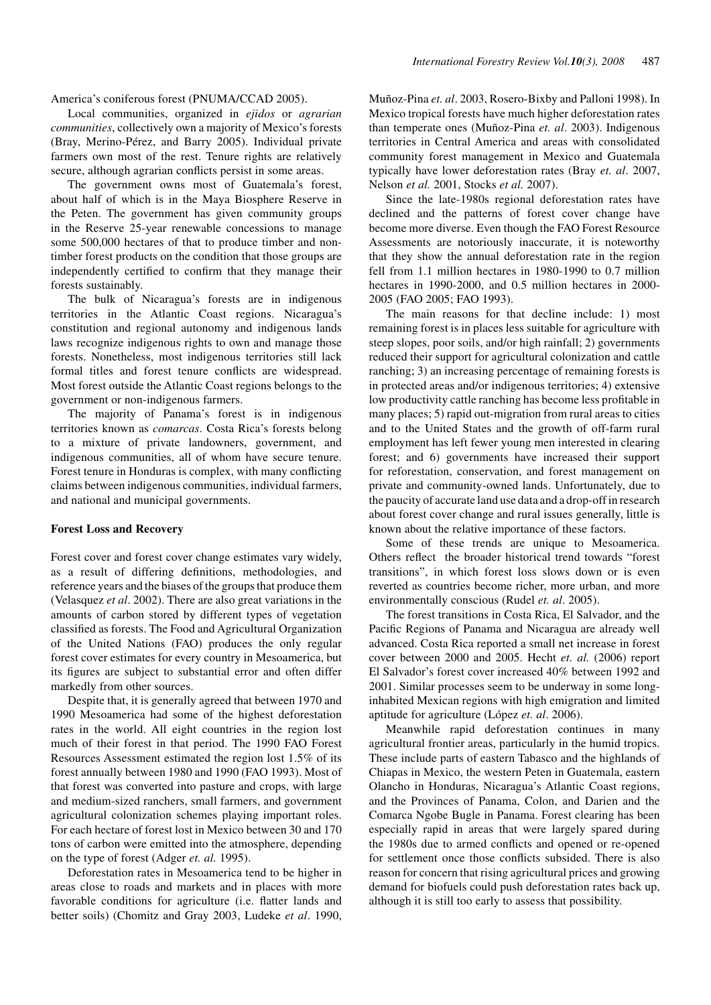#### America's coniferous forest (PNUMA/CCAD 2005).

Local communities, organized in *ejidos* or *agrarian communities*, collectively own a majority of Mexico's forests (Bray, Merino-Pérez, and Barry 2005). Individual private farmers own most of the rest. Tenure rights are relatively secure, although agrarian conflicts persist in some areas.

The government owns most of Guatemala's forest, about half of which is in the Maya Biosphere Reserve in the Peten. The government has given community groups in the Reserve 25-year renewable concessions to manage some 500,000 hectares of that to produce timber and nontimber forest products on the condition that those groups are independently certified to confirm that they manage their forests sustainably.

The bulk of Nicaragua's forests are in indigenous territories in the Atlantic Coast regions. Nicaragua's constitution and regional autonomy and indigenous lands laws recognize indigenous rights to own and manage those forests. Nonetheless, most indigenous territories still lack formal titles and forest tenure conflicts are widespread. Most forest outside the Atlantic Coast regions belongs to the government or non-indigenous farmers.

The majority of Panama's forest is in indigenous territories known as *comarcas*. Costa Rica's forests belong to a mixture of private landowners, government, and indigenous communities, all of whom have secure tenure. Forest tenure in Honduras is complex, with many conflicting claims between indigenous communities, individual farmers, and national and municipal governments.

#### **Forest Loss and Recovery**

Forest cover and forest cover change estimates vary widely, as a result of differing definitions, methodologies, and reference years and the biases of the groups that produce them (Velasquez *et al*. 2002). There are also great variations in the amounts of carbon stored by different types of vegetation classified as forests. The Food and Agricultural Organization of the United Nations (FAO) produces the only regular forest cover estimates for every country in Mesoamerica, but its figures are subject to substantial error and often differ markedly from other sources.

Despite that, it is generally agreed that between 1970 and 1990 Mesoamerica had some of the highest deforestation rates in the world. All eight countries in the region lost much of their forest in that period. The 1990 FAO Forest Resources Assessment estimated the region lost 1.5% of its forest annually between 1980 and 1990 (FAO 1993). Most of that forest was converted into pasture and crops, with large and medium-sized ranchers, small farmers, and government agricultural colonization schemes playing important roles. For each hectare of forest lost in Mexico between 30 and 170 tons of carbon were emitted into the atmosphere, depending on the type of forest (Adger *et. al.* 1995).

Deforestation rates in Mesoamerica tend to be higher in areas close to roads and markets and in places with more favorable conditions for agriculture (i.e. flatter lands and better soils) (Chomitz and Gray 2003, Ludeke *et al*. 1990,

Muñoz-Pina *et. al*. 2003, Rosero-Bixby and Palloni 1998). In Mexico tropical forests have much higher deforestation rates than temperate ones (Muñoz-Pina *et. al*. 2003). Indigenous territories in Central America and areas with consolidated community forest management in Mexico and Guatemala typically have lower deforestation rates (Bray *et. al*. 2007, Nelson *et al.* 2001, Stocks *et al.* 2007).

Since the late-1980s regional deforestation rates have declined and the patterns of forest cover change have become more diverse. Even though the FAO Forest Resource Assessments are notoriously inaccurate, it is noteworthy that they show the annual deforestation rate in the region fell from 1.1 million hectares in 1980-1990 to 0.7 million hectares in 1990-2000, and 0.5 million hectares in 2000-2005 (FAO 2005; FAO 1993).

The main reasons for that decline include: 1) most remaining forest is in places less suitable for agriculture with steep slopes, poor soils, and/or high rainfall; 2) governments reduced their support for agricultural colonization and cattle ranching; 3) an increasing percentage of remaining forests is in protected areas and/or indigenous territories; 4) extensive low productivity cattle ranching has become less profitable in many places; 5) rapid out-migration from rural areas to cities and to the United States and the growth of off-farm rural employment has left fewer young men interested in clearing forest; and 6) governments have increased their support for reforestation, conservation, and forest management on private and community-owned lands. Unfortunately, due to the paucity of accurate land use data and a drop-off in research about forest cover change and rural issues generally, little is known about the relative importance of these factors.

Some of these trends are unique to Mesoamerica. Others reflect the broader historical trend towards "forest" transitions", in which forest loss slows down or is even reverted as countries become richer, more urban, and more environmentally conscious (Rudel *et. al*. 2005).

The forest transitions in Costa Rica, El Salvador, and the Pacific Regions of Panama and Nicaragua are already well advanced. Costa Rica reported a small net increase in forest cover between 2000 and 2005. Hecht *et. al.* (2006) report El Salvador's forest cover increased 40% between 1992 and 2001. Similar processes seem to be underway in some longinhabited Mexican regions with high emigration and limited aptitude for agriculture (López *et. al*. 2006).

Meanwhile rapid deforestation continues in many agricultural frontier areas, particularly in the humid tropics. These include parts of eastern Tabasco and the highlands of Chiapas in Mexico, the western Peten in Guatemala, eastern Olancho in Honduras, Nicaragua's Atlantic Coast regions, and the Provinces of Panama, Colon, and Darien and the Comarca Ngobe Bugle in Panama. Forest clearing has been especially rapid in areas that were largely spared during the 1980s due to armed conflicts and opened or re-opened for settlement once those conflicts subsided. There is also reason for concern that rising agricultural prices and growing demand for biofuels could push deforestation rates back up, although it is still too early to assess that possibility.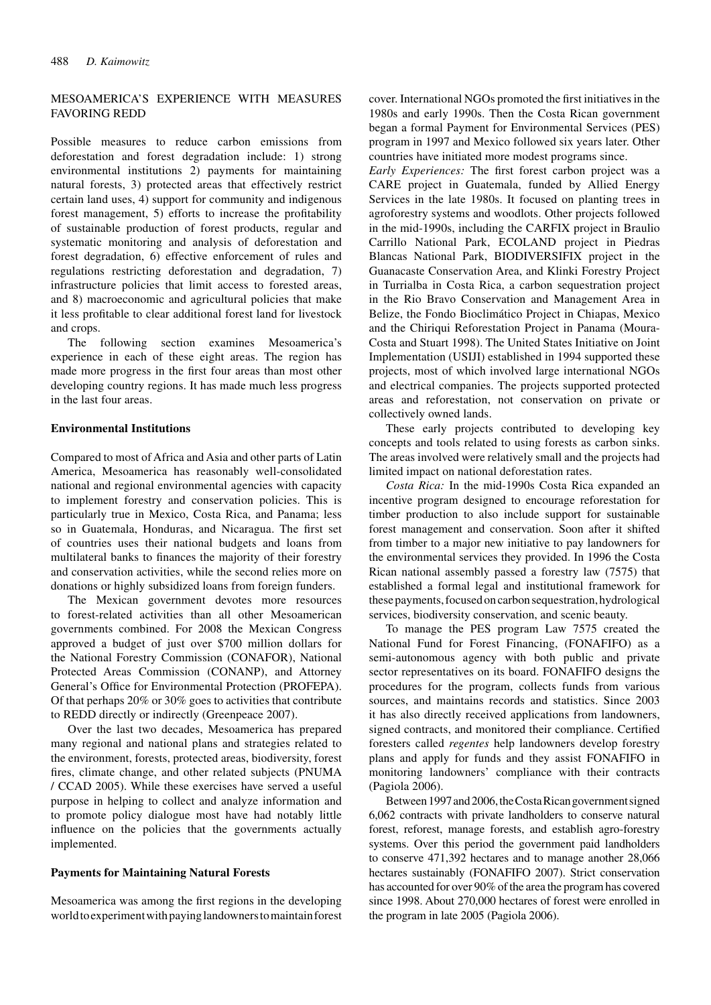# MESOAMERICA'S EXPERIENCE WITH MEASURES FAVORING REDD

Possible measures to reduce carbon emissions from deforestation and forest degradation include: 1) strong environmental institutions 2) payments for maintaining natural forests, 3) protected areas that effectively restrict certain land uses, 4) support for community and indigenous forest management, 5) efforts to increase the profitability of sustainable production of forest products, regular and systematic monitoring and analysis of deforestation and forest degradation, 6) effective enforcement of rules and regulations restricting deforestation and degradation, 7) infrastructure policies that limit access to forested areas, and 8) macroeconomic and agricultural policies that make it less profitable to clear additional forest land for livestock and crops.

The following section examines Mesoamerica's experience in each of these eight areas. The region has made more progress in the first four areas than most other developing country regions. It has made much less progress in the last four areas.

#### **Environmental Institutions**

Compared to most of Africa and Asia and other parts of Latin America, Mesoamerica has reasonably well-consolidated national and regional environmental agencies with capacity to implement forestry and conservation policies. This is particularly true in Mexico, Costa Rica, and Panama; less so in Guatemala, Honduras, and Nicaragua. The first set of countries uses their national budgets and loans from multilateral banks to finances the majority of their forestry and conservation activities, while the second relies more on donations or highly subsidized loans from foreign funders.

The Mexican government devotes more resources to forest-related activities than all other Mesoamerican governments combined. For 2008 the Mexican Congress approved a budget of just over \$700 million dollars for the National Forestry Commission (CONAFOR), National Protected Areas Commission (CONANP), and Attorney General's Office for Environmental Protection (PROFEPA). Of that perhaps 20% or 30% goes to activities that contribute to REDD directly or indirectly (Greenpeace 2007).

Over the last two decades, Mesoamerica has prepared many regional and national plans and strategies related to the environment, forests, protected areas, biodiversity, forest fires, climate change, and other related subjects (PNUMA / CCAD 2005). While these exercises have served a useful purpose in helping to collect and analyze information and to promote policy dialogue most have had notably little influence on the policies that the governments actually implemented.

#### **Payments for Maintaining Natural Forests**

Mesoamerica was among the first regions in the developing world to experiment with paying landowners to maintain forest cover. International NGOs promoted the first initiatives in the 1980s and early 1990s. Then the Costa Rican government began a formal Payment for Environmental Services (PES) program in 1997 and Mexico followed six years later. Other countries have initiated more modest programs since.

*Early Experiences:* The first forest carbon project was a CARE project in Guatemala, funded by Allied Energy Services in the late 1980s. It focused on planting trees in agroforestry systems and woodlots. Other projects followed in the mid-1990s, including the CARFIX project in Braulio Carrillo National Park, ECOLAND project in Piedras Blancas National Park, BIODIVERSIFIX project in the Guanacaste Conservation Area, and Klinki Forestry Project in Turrialba in Costa Rica, a carbon sequestration project in the Rio Bravo Conservation and Management Area in Belize, the Fondo Bioclimático Project in Chiapas, Mexico and the Chiriqui Reforestation Project in Panama (Moura-Costa and Stuart 1998). The United States Initiative on Joint Implementation (USIJI) established in 1994 supported these projects, most of which involved large international NGOs and electrical companies. The projects supported protected areas and reforestation, not conservation on private or collectively owned lands.

These early projects contributed to developing key concepts and tools related to using forests as carbon sinks. The areas involved were relatively small and the projects had limited impact on national deforestation rates.

*Costa Rica:* In the mid-1990s Costa Rica expanded an incentive program designed to encourage reforestation for timber production to also include support for sustainable forest management and conservation. Soon after it shifted from timber to a major new initiative to pay landowners for the environmental services they provided. In 1996 the Costa Rican national assembly passed a forestry law (7575) that established a formal legal and institutional framework for these payments, focused on carbon sequestration, hydrological services, biodiversity conservation, and scenic beauty.

To manage the PES program Law 7575 created the National Fund for Forest Financing, (FONAFIFO) as a semi-autonomous agency with both public and private sector representatives on its board. FONAFIFO designs the procedures for the program, collects funds from various sources, and maintains records and statistics. Since 2003 it has also directly received applications from landowners, signed contracts, and monitored their compliance. Certified foresters called *regentes* help landowners develop forestry plans and apply for funds and they assist FONAFIFO in monitoring landowners' compliance with their contracts (Pagiola 2006).

Between 1997 and 2006, the Costa Rican government signed 6,062 contracts with private landholders to conserve natural forest, reforest, manage forests, and establish agro-forestry systems. Over this period the government paid landholders to conserve 471,392 hectares and to manage another 28,066 hectares sustainably (FONAFIFO 2007). Strict conservation has accounted for over 90% of the area the program has covered since 1998. About 270,000 hectares of forest were enrolled in the program in late 2005 (Pagiola 2006).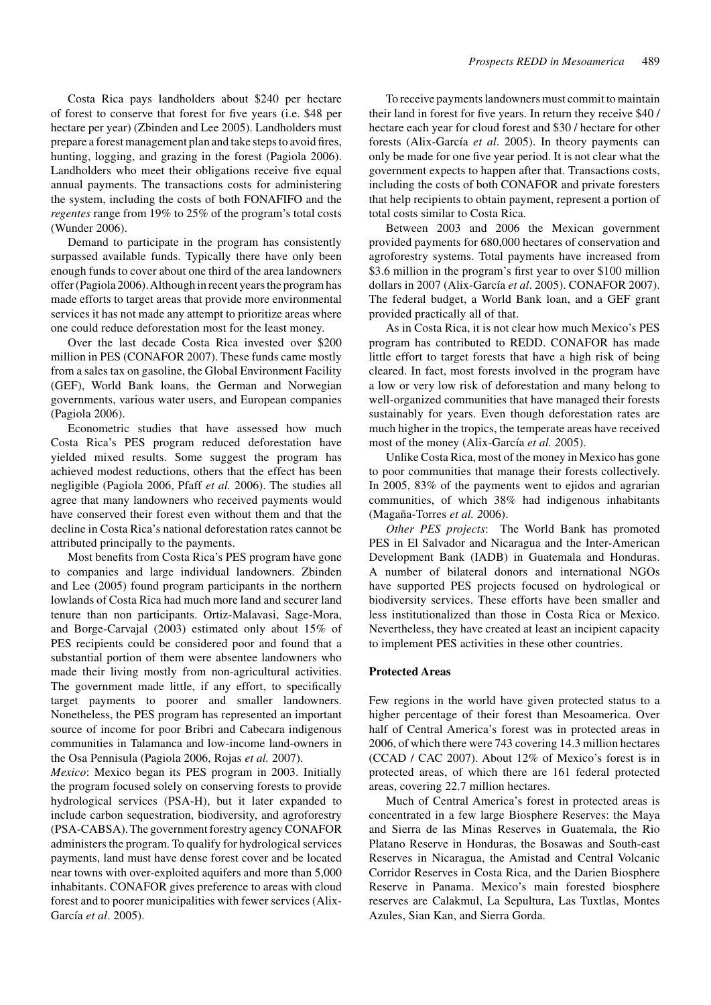Costa Rica pays landholders about \$240 per hectare of forest to conserve that forest for five years (i.e. \$48 per hectare per year) (Zbinden and Lee 2005). Landholders must prepare a forest management plan and take steps to avoid fires, hunting, logging, and grazing in the forest (Pagiola 2006). Landholders who meet their obligations receive five equal annual payments. The transactions costs for administering the system, including the costs of both FONAFIFO and the *regentes* range from 19% to 25% of the program's total costs (Wunder 2006).

Demand to participate in the program has consistently surpassed available funds. Typically there have only been enough funds to cover about one third of the area landowners offer (Pagiola 2006). Although in recent years the program has made efforts to target areas that provide more environmental services it has not made any attempt to prioritize areas where one could reduce deforestation most for the least money.

Over the last decade Costa Rica invested over \$200 million in PES (CONAFOR 2007). These funds came mostly from a sales tax on gasoline, the Global Environment Facility (GEF), World Bank loans, the German and Norwegian governments, various water users, and European companies (Pagiola 2006).

Econometric studies that have assessed how much Costa Rica's PES program reduced deforestation have yielded mixed results. Some suggest the program has achieved modest reductions, others that the effect has been negligible (Pagiola 2006, Pfaff *et al.* 2006). The studies all agree that many landowners who received payments would have conserved their forest even without them and that the decline in Costa Rica's national deforestation rates cannot be attributed principally to the payments.

Most benefits from Costa Rica's PES program have gone to companies and large individual landowners. Zbinden and Lee (2005) found program participants in the northern lowlands of Costa Rica had much more land and securer land tenure than non participants. Ortiz-Malavasi, Sage-Mora, and Borge-Carvajal (2003) estimated only about 15% of PES recipients could be considered poor and found that a substantial portion of them were absentee landowners who made their living mostly from non-agricultural activities. The government made little, if any effort, to specifically target payments to poorer and smaller landowners. Nonetheless, the PES program has represented an important source of income for poor Bribri and Cabecara indigenous communities in Talamanca and low-income land-owners in the Osa Pennisula (Pagiola 2006, Rojas *et al.* 2007).

*Mexico*: Mexico began its PES program in 2003. Initially the program focused solely on conserving forests to provide hydrological services (PSA-H), but it later expanded to include carbon sequestration, biodiversity, and agroforestry (PSA-CABSA). The government forestry agency CONAFOR administers the program. To qualify for hydrological services payments, land must have dense forest cover and be located near towns with over-exploited aquifers and more than 5,000 inhabitants. CONAFOR gives preference to areas with cloud forest and to poorer municipalities with fewer services (Alix-García *et al*. 2005).

To receive payments landowners must commit to maintain their land in forest for five years. In return they receive \$40 / hectare each year for cloud forest and \$30 / hectare for other forests (Alix-García *et al*. 2005). In theory payments can only be made for one five year period. It is not clear what the government expects to happen after that. Transactions costs, including the costs of both CONAFOR and private foresters that help recipients to obtain payment, represent a portion of total costs similar to Costa Rica.

Between 2003 and 2006 the Mexican government provided payments for 680,000 hectares of conservation and agroforestry systems. Total payments have increased from \$3.6 million in the program's first year to over \$100 million dollars in 2007 (Alix-García *et al*. 2005). CONAFOR 2007). The federal budget, a World Bank loan, and a GEF grant provided practically all of that.

As in Costa Rica, it is not clear how much Mexico's PES program has contributed to REDD. CONAFOR has made little effort to target forests that have a high risk of being cleared. In fact, most forests involved in the program have a low or very low risk of deforestation and many belong to well-organized communities that have managed their forests sustainably for years. Even though deforestation rates are much higher in the tropics, the temperate areas have received most of the money (Alix-García *et al. 2*005).

Unlike Costa Rica, most of the money in Mexico has gone to poor communities that manage their forests collectively. In 2005, 83% of the payments went to ejidos and agrarian communities, of which 38% had indigenous inhabitants (Magaña-Torres *et al. 2*006).

*Other PES projects*: The World Bank has promoted PES in El Salvador and Nicaragua and the Inter-American Development Bank (IADB) in Guatemala and Honduras. A number of bilateral donors and international NGOs have supported PES projects focused on hydrological or biodiversity services. These efforts have been smaller and less institutionalized than those in Costa Rica or Mexico. Nevertheless, they have created at least an incipient capacity to implement PES activities in these other countries.

#### **Protected Areas**

Few regions in the world have given protected status to a higher percentage of their forest than Mesoamerica. Over half of Central America's forest was in protected areas in 2006, of which there were 743 covering 14.3 million hectares (CCAD / CAC 2007). About 12% of Mexico's forest is in protected areas, of which there are 161 federal protected areas, covering 22.7 million hectares.

Much of Central America's forest in protected areas is concentrated in a few large Biosphere Reserves: the Maya and Sierra de las Minas Reserves in Guatemala, the Rio Platano Reserve in Honduras, the Bosawas and South-east Reserves in Nicaragua, the Amistad and Central Volcanic Corridor Reserves in Costa Rica, and the Darien Biosphere Reserve in Panama. Mexico's main forested biosphere reserves are Calakmul, La Sepultura, Las Tuxtlas, Montes Azules, Sian Kan, and Sierra Gorda.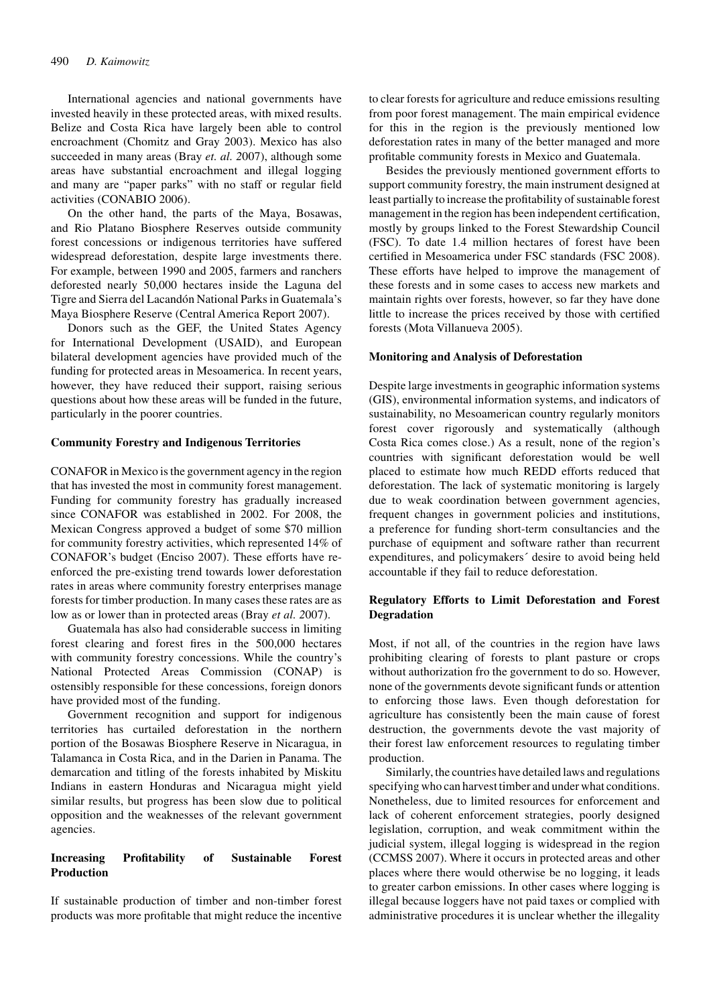International agencies and national governments have invested heavily in these protected areas, with mixed results. Belize and Costa Rica have largely been able to control encroachment (Chomitz and Gray 2003). Mexico has also succeeded in many areas (Bray *et. al. 2*007), although some areas have substantial encroachment and illegal logging and many are "paper parks" with no staff or regular field activities (CONABIO 2006).

On the other hand, the parts of the Maya, Bosawas, and Rio Platano Biosphere Reserves outside community forest concessions or indigenous territories have suffered widespread deforestation, despite large investments there. For example, between 1990 and 2005, farmers and ranchers deforested nearly 50,000 hectares inside the Laguna del Tigre and Sierra del Lacandón National Parks in Guatemala's Maya Biosphere Reserve (Central America Report 2007).

Donors such as the GEF, the United States Agency for International Development (USAID), and European bilateral development agencies have provided much of the funding for protected areas in Mesoamerica. In recent years, however, they have reduced their support, raising serious questions about how these areas will be funded in the future, particularly in the poorer countries.

#### **Community Forestry and Indigenous Territories**

CONAFOR in Mexico is the government agency in the region that has invested the most in community forest management. Funding for community forestry has gradually increased since CONAFOR was established in 2002. For 2008, the Mexican Congress approved a budget of some \$70 million for community forestry activities, which represented 14% of CONAFOR's budget (Enciso 2007). These efforts have reenforced the pre-existing trend towards lower deforestation rates in areas where community forestry enterprises manage forests for timber production. In many cases these rates are as low as or lower than in protected areas (Bray *et al. 2*007).

Guatemala has also had considerable success in limiting forest clearing and forest fires in the  $500,000$  hectares with community forestry concessions. While the country's National Protected Areas Commission (CONAP) is ostensibly responsible for these concessions, foreign donors have provided most of the funding.

Government recognition and support for indigenous territories has curtailed deforestation in the northern portion of the Bosawas Biosphere Reserve in Nicaragua, in Talamanca in Costa Rica, and in the Darien in Panama. The demarcation and titling of the forests inhabited by Miskitu Indians in eastern Honduras and Nicaragua might yield similar results, but progress has been slow due to political opposition and the weaknesses of the relevant government agencies.

# **Increasing Profitability of Sustainable Forest Production**

If sustainable production of timber and non-timber forest products was more profitable that might reduce the incentive

to clear forests for agriculture and reduce emissions resulting from poor forest management. The main empirical evidence for this in the region is the previously mentioned low deforestation rates in many of the better managed and more profitable community forests in Mexico and Guatemala.

Besides the previously mentioned government efforts to support community forestry, the main instrument designed at least partially to increase the profitability of sustainable forest management in the region has been independent certification, mostly by groups linked to the Forest Stewardship Council (FSC). To date 1.4 million hectares of forest have been certified in Mesoamerica under FSC standards (FSC 2008). These efforts have helped to improve the management of these forests and in some cases to access new markets and maintain rights over forests, however, so far they have done little to increase the prices received by those with certified forests (Mota Villanueva 2005).

#### **Monitoring and Analysis of Deforestation**

Despite large investments in geographic information systems (GIS), environmental information systems, and indicators of sustainability, no Mesoamerican country regularly monitors forest cover rigorously and systematically (although Costa Rica comes close.) As a result, none of the region's countries with significant deforestation would be well placed to estimate how much REDD efforts reduced that deforestation. The lack of systematic monitoring is largely due to weak coordination between government agencies, frequent changes in government policies and institutions, a preference for funding short-term consultancies and the purchase of equipment and software rather than recurrent expenditures, and policymakers´ desire to avoid being held accountable if they fail to reduce deforestation.

## **Regulatory Efforts to Limit Deforestation and Forest Degradation**

Most, if not all, of the countries in the region have laws prohibiting clearing of forests to plant pasture or crops without authorization fro the government to do so. However, none of the governments devote significant funds or attention to enforcing those laws. Even though deforestation for agriculture has consistently been the main cause of forest destruction, the governments devote the vast majority of their forest law enforcement resources to regulating timber production.

Similarly, the countries have detailed laws and regulations specifying who can harvest timber and under what conditions. Nonetheless, due to limited resources for enforcement and lack of coherent enforcement strategies, poorly designed legislation, corruption, and weak commitment within the judicial system, illegal logging is widespread in the region (CCMSS 2007). Where it occurs in protected areas and other places where there would otherwise be no logging, it leads to greater carbon emissions. In other cases where logging is illegal because loggers have not paid taxes or complied with administrative procedures it is unclear whether the illegality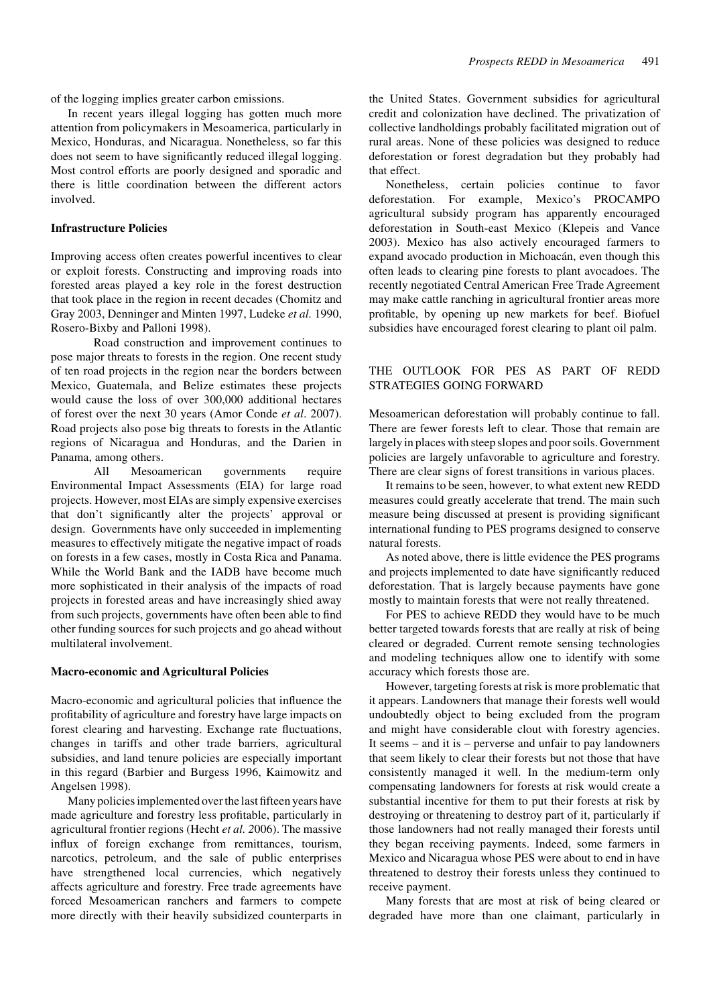of the logging implies greater carbon emissions.

In recent years illegal logging has gotten much more attention from policymakers in Mesoamerica, particularly in Mexico, Honduras, and Nicaragua. Nonetheless, so far this does not seem to have significantly reduced illegal logging. Most control efforts are poorly designed and sporadic and there is little coordination between the different actors involved.

## **Infrastructure Policies**

Improving access often creates powerful incentives to clear or exploit forests. Constructing and improving roads into forested areas played a key role in the forest destruction that took place in the region in recent decades (Chomitz and Gray 2003, Denninger and Minten 1997, Ludeke *et al.* 1990, Rosero-Bixby and Palloni 1998).

Road construction and improvement continues to pose major threats to forests in the region. One recent study of ten road projects in the region near the borders between Mexico, Guatemala, and Belize estimates these projects would cause the loss of over 300,000 additional hectares of forest over the next 30 years (Amor Conde *et al*. 2007). Road projects also pose big threats to forests in the Atlantic regions of Nicaragua and Honduras, and the Darien in Panama, among others.

All Mesoamerican governments require Environmental Impact Assessments (EIA) for large road projects. However, most EIAs are simply expensive exercises that don't significantly alter the projects' approval or design. Governments have only succeeded in implementing measures to effectively mitigate the negative impact of roads on forests in a few cases, mostly in Costa Rica and Panama. While the World Bank and the IADB have become much more sophisticated in their analysis of the impacts of road projects in forested areas and have increasingly shied away from such projects, governments have often been able to find other funding sources for such projects and go ahead without multilateral involvement.

#### **Macro-economic and Agricultural Policies**

Macro-economic and agricultural policies that influence the profitability of agriculture and forestry have large impacts on forest clearing and harvesting. Exchange rate fluctuations, changes in tariffs and other trade barriers, agricultural subsidies, and land tenure policies are especially important in this regard (Barbier and Burgess 1996, Kaimowitz and Angelsen 1998).

Many policies implemented over the last fifteen years have made agriculture and forestry less profitable, particularly in agricultural frontier regions (Hecht *et al. 2*006). The massive influx of foreign exchange from remittances, tourism, narcotics, petroleum, and the sale of public enterprises have strengthened local currencies, which negatively affects agriculture and forestry. Free trade agreements have forced Mesoamerican ranchers and farmers to compete more directly with their heavily subsidized counterparts in

the United States. Government subsidies for agricultural credit and colonization have declined. The privatization of collective landholdings probably facilitated migration out of rural areas. None of these policies was designed to reduce deforestation or forest degradation but they probably had that effect.

Nonetheless, certain policies continue to favor deforestation. For example, Mexico's PROCAMPO agricultural subsidy program has apparently encouraged deforestation in South-east Mexico (Klepeis and Vance 2003). Mexico has also actively encouraged farmers to expand avocado production in Michoacán, even though this often leads to clearing pine forests to plant avocadoes. The recently negotiated Central American Free Trade Agreement may make cattle ranching in agricultural frontier areas more profitable, by opening up new markets for beef. Biofuel subsidies have encouraged forest clearing to plant oil palm.

# THE OUTLOOK FOR PES AS PART OF REDD STRATEGIES GOING FORWARD

Mesoamerican deforestation will probably continue to fall. There are fewer forests left to clear. Those that remain are largely in places with steep slopes and poor soils. Government policies are largely unfavorable to agriculture and forestry. There are clear signs of forest transitions in various places.

It remains to be seen, however, to what extent new REDD measures could greatly accelerate that trend. The main such measure being discussed at present is providing significant international funding to PES programs designed to conserve natural forests.

As noted above, there is little evidence the PES programs and projects implemented to date have significantly reduced deforestation. That is largely because payments have gone mostly to maintain forests that were not really threatened.

For PES to achieve REDD they would have to be much better targeted towards forests that are really at risk of being cleared or degraded. Current remote sensing technologies and modeling techniques allow one to identify with some accuracy which forests those are.

However, targeting forests at risk is more problematic that it appears. Landowners that manage their forests well would undoubtedly object to being excluded from the program and might have considerable clout with forestry agencies. It seems – and it is – perverse and unfair to pay landowners that seem likely to clear their forests but not those that have consistently managed it well. In the medium-term only compensating landowners for forests at risk would create a substantial incentive for them to put their forests at risk by destroying or threatening to destroy part of it, particularly if those landowners had not really managed their forests until they began receiving payments. Indeed, some farmers in Mexico and Nicaragua whose PES were about to end in have threatened to destroy their forests unless they continued to receive payment.

Many forests that are most at risk of being cleared or degraded have more than one claimant, particularly in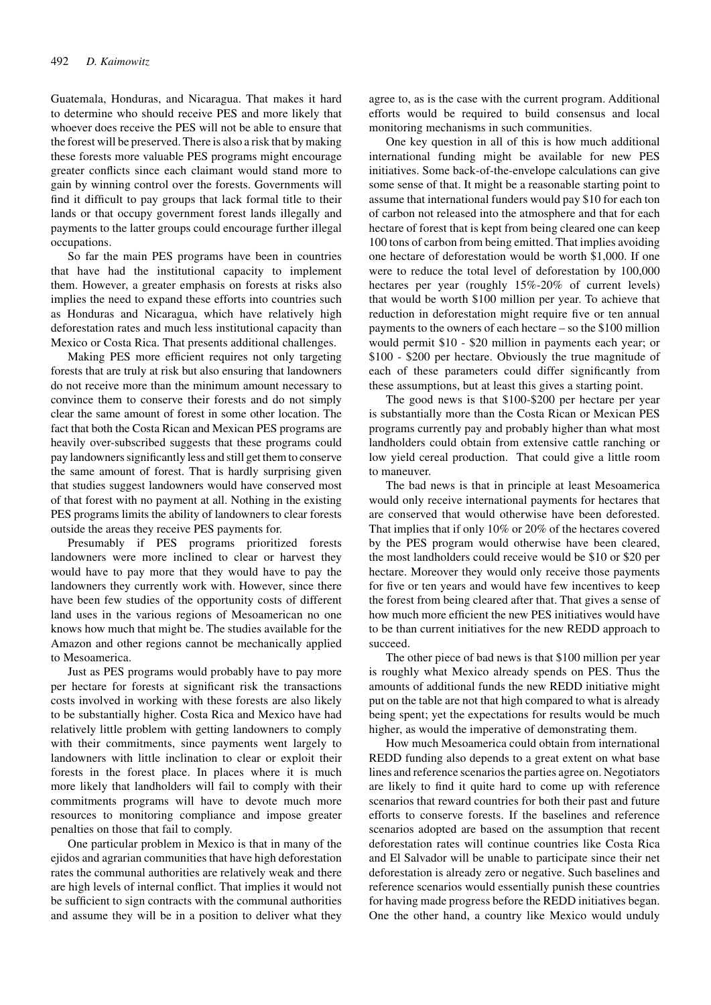Guatemala, Honduras, and Nicaragua. That makes it hard to determine who should receive PES and more likely that whoever does receive the PES will not be able to ensure that the forest will be preserved. There is also a risk that by making these forests more valuable PES programs might encourage greater conflicts since each claimant would stand more to gain by winning control over the forests. Governments will find it difficult to pay groups that lack formal title to their lands or that occupy government forest lands illegally and payments to the latter groups could encourage further illegal occupations.

So far the main PES programs have been in countries that have had the institutional capacity to implement them. However, a greater emphasis on forests at risks also implies the need to expand these efforts into countries such as Honduras and Nicaragua, which have relatively high deforestation rates and much less institutional capacity than Mexico or Costa Rica. That presents additional challenges.

Making PES more efficient requires not only targeting forests that are truly at risk but also ensuring that landowners do not receive more than the minimum amount necessary to convince them to conserve their forests and do not simply clear the same amount of forest in some other location. The fact that both the Costa Rican and Mexican PES programs are heavily over-subscribed suggests that these programs could pay landowners significantly less and still get them to conserve the same amount of forest. That is hardly surprising given that studies suggest landowners would have conserved most of that forest with no payment at all. Nothing in the existing PES programs limits the ability of landowners to clear forests outside the areas they receive PES payments for.

Presumably if PES programs prioritized forests landowners were more inclined to clear or harvest they would have to pay more that they would have to pay the landowners they currently work with. However, since there have been few studies of the opportunity costs of different land uses in the various regions of Mesoamerican no one knows how much that might be. The studies available for the Amazon and other regions cannot be mechanically applied to Mesoamerica.

Just as PES programs would probably have to pay more per hectare for forests at significant risk the transactions costs involved in working with these forests are also likely to be substantially higher. Costa Rica and Mexico have had relatively little problem with getting landowners to comply with their commitments, since payments went largely to landowners with little inclination to clear or exploit their forests in the forest place. In places where it is much more likely that landholders will fail to comply with their commitments programs will have to devote much more resources to monitoring compliance and impose greater penalties on those that fail to comply.

One particular problem in Mexico is that in many of the ejidos and agrarian communities that have high deforestation rates the communal authorities are relatively weak and there are high levels of internal conflict. That implies it would not be sufficient to sign contracts with the communal authorities and assume they will be in a position to deliver what they

agree to, as is the case with the current program. Additional efforts would be required to build consensus and local monitoring mechanisms in such communities.

One key question in all of this is how much additional international funding might be available for new PES initiatives. Some back-of-the-envelope calculations can give some sense of that. It might be a reasonable starting point to assume that international funders would pay \$10 for each ton of carbon not released into the atmosphere and that for each hectare of forest that is kept from being cleared one can keep 100 tons of carbon from being emitted. That implies avoiding one hectare of deforestation would be worth \$1,000. If one were to reduce the total level of deforestation by 100,000 hectares per year (roughly 15%-20% of current levels) that would be worth \$100 million per year. To achieve that reduction in deforestation might require five or ten annual payments to the owners of each hectare – so the \$100 million would permit \$10 - \$20 million in payments each year; or \$100 - \$200 per hectare. Obviously the true magnitude of each of these parameters could differ significantly from these assumptions, but at least this gives a starting point.

The good news is that \$100-\$200 per hectare per year is substantially more than the Costa Rican or Mexican PES programs currently pay and probably higher than what most landholders could obtain from extensive cattle ranching or low yield cereal production. That could give a little room to maneuver.

The bad news is that in principle at least Mesoamerica would only receive international payments for hectares that are conserved that would otherwise have been deforested. That implies that if only 10% or 20% of the hectares covered by the PES program would otherwise have been cleared, the most landholders could receive would be \$10 or \$20 per hectare. Moreover they would only receive those payments for five or ten years and would have few incentives to keep the forest from being cleared after that. That gives a sense of how much more efficient the new PES initiatives would have to be than current initiatives for the new REDD approach to succeed.

The other piece of bad news is that \$100 million per year is roughly what Mexico already spends on PES. Thus the amounts of additional funds the new REDD initiative might put on the table are not that high compared to what is already being spent; yet the expectations for results would be much higher, as would the imperative of demonstrating them.

How much Mesoamerica could obtain from international REDD funding also depends to a great extent on what base lines and reference scenarios the parties agree on. Negotiators are likely to find it quite hard to come up with reference scenarios that reward countries for both their past and future efforts to conserve forests. If the baselines and reference scenarios adopted are based on the assumption that recent deforestation rates will continue countries like Costa Rica and El Salvador will be unable to participate since their net deforestation is already zero or negative. Such baselines and reference scenarios would essentially punish these countries for having made progress before the REDD initiatives began. One the other hand, a country like Mexico would unduly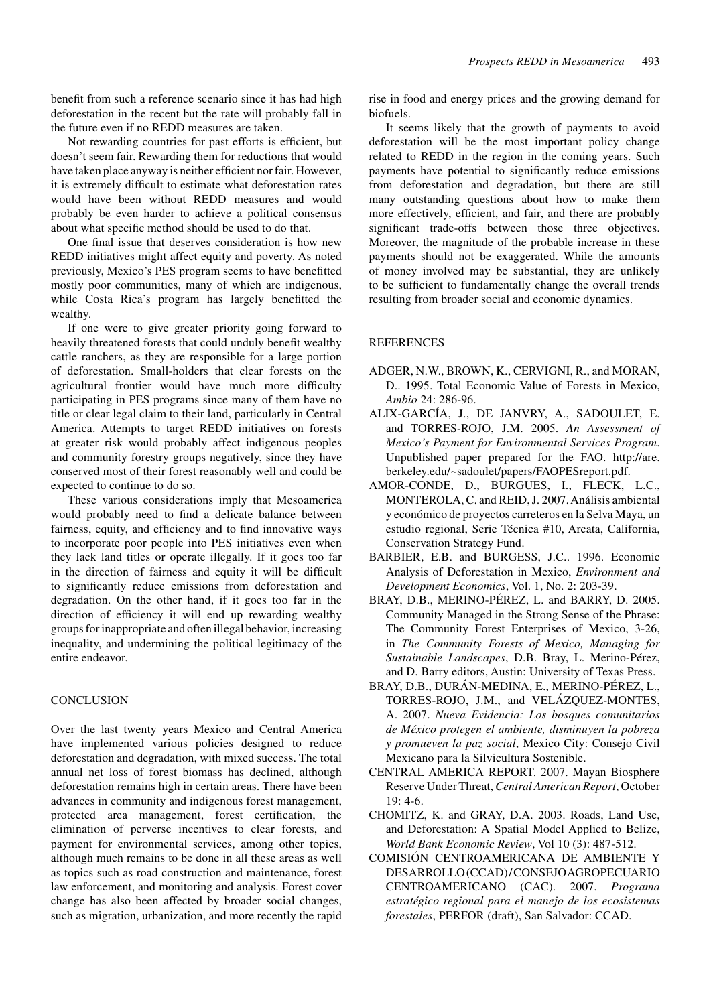benefit from such a reference scenario since it has had high deforestation in the recent but the rate will probably fall in the future even if no REDD measures are taken.

Not rewarding countries for past efforts is efficient, but doesn't seem fair. Rewarding them for reductions that would have taken place anyway is neither efficient nor fair. However, it is extremely difficult to estimate what deforestation rates would have been without REDD measures and would probably be even harder to achieve a political consensus about what specific method should be used to do that.

One final issue that deserves consideration is how new REDD initiatives might affect equity and poverty. As noted previously, Mexico's PES program seems to have benefitted mostly poor communities, many of which are indigenous, while Costa Rica's program has largely benefitted the wealthy.

If one were to give greater priority going forward to heavily threatened forests that could unduly benefit wealthy cattle ranchers, as they are responsible for a large portion of deforestation. Small-holders that clear forests on the agricultural frontier would have much more difficulty participating in PES programs since many of them have no title or clear legal claim to their land, particularly in Central America. Attempts to target REDD initiatives on forests at greater risk would probably affect indigenous peoples and community forestry groups negatively, since they have conserved most of their forest reasonably well and could be expected to continue to do so.

These various considerations imply that Mesoamerica would probably need to find a delicate balance between fairness, equity, and efficiency and to find innovative ways to incorporate poor people into PES initiatives even when they lack land titles or operate illegally. If it goes too far in the direction of fairness and equity it will be difficult to significantly reduce emissions from deforestation and degradation. On the other hand, if it goes too far in the direction of efficiency it will end up rewarding wealthy groups for inappropriate and often illegal behavior, increasing inequality, and undermining the political legitimacy of the entire endeavor.

#### **CONCLUSION**

Over the last twenty years Mexico and Central America have implemented various policies designed to reduce deforestation and degradation, with mixed success. The total annual net loss of forest biomass has declined, although deforestation remains high in certain areas. There have been advances in community and indigenous forest management, protected area management, forest certification, the elimination of perverse incentives to clear forests, and payment for environmental services, among other topics, although much remains to be done in all these areas as well as topics such as road construction and maintenance, forest law enforcement, and monitoring and analysis. Forest cover change has also been affected by broader social changes, such as migration, urbanization, and more recently the rapid

rise in food and energy prices and the growing demand for biofuels.

It seems likely that the growth of payments to avoid deforestation will be the most important policy change related to REDD in the region in the coming years. Such payments have potential to significantly reduce emissions from deforestation and degradation, but there are still many outstanding questions about how to make them more effectively, efficient, and fair, and there are probably significant trade-offs between those three objectives. Moreover, the magnitude of the probable increase in these payments should not be exaggerated. While the amounts of money involved may be substantial, they are unlikely to be sufficient to fundamentally change the overall trends resulting from broader social and economic dynamics.

#### **REFERENCES**

- ADGER, N.W., BROWN, K., CERVIGNI, R., and MORAN, D.. 1995. Total Economic Value of Forests in Mexico, *Ambio* 24: 286-96.
- ALIX-GARCÍA, J., DE JANVRY, A., SADOULET, E. and TORRES-ROJO, J.M. 2005. *An Assessment of Mexico's Payment for Environmental Services Program*. Unpublished paper prepared for the FAO. http://are. berkeley.edu/~sadoulet/papers/FAOPESreport.pdf.
- AMOR-CONDE, D., BURGUES, I., FLECK, L.C., MONTEROLA, C. and REID, J. 2007. Análisis ambiental y económico de proyectos carreteros en la Selva Maya, un estudio regional, Serie Técnica #10, Arcata, California, Conservation Strategy Fund.
- BARBIER, E.B. and BURGESS, J.C.. 1996. Economic Analysis of Deforestation in Mexico, *Environment and Development Economics*, Vol. 1, No. 2: 203-39.
- BRAY, D.B., MERINO-PÉREZ, L. and BARRY, D. 2005. Community Managed in the Strong Sense of the Phrase: The Community Forest Enterprises of Mexico, 3-26, in *The Community Forests of Mexico, Managing for Sustainable Landscapes*, D.B. Bray, L. Merino-Pérez, and D. Barry editors, Austin: University of Texas Press.
- BRAY, D.B., DURÁN-MEDINA, E., MERINO-PÉREZ, L., TORRES-ROJO, J.M., and VELÁZQUEZ-MONTES, A. 2007. *Nueva Evidencia: Los bosques comunitarios de México protegen el ambiente, disminuyen la pobreza y promueven la paz social*, Mexico City: Consejo Civil Mexicano para la Silvicultura Sostenible.
- CENTRAL AMERICA REPORT. 2007. Mayan Biosphere Reserve Under Threat, *Central American Report*, October  $19.4-6$
- CHOMITZ, K. and GRAY, D.A. 2003. Roads, Land Use, and Deforestation: A Spatial Model Applied to Belize, *World Bank Economic Review*, Vol 10 (3): 487-512.
- COMISIÓN CENTROAMERICANA DE AMBIENTE Y DESARROLLO (CCAD) / CONSEJO AGROPECUARIO CENTROAMERICANO (CAC). 2007. *Programa estratégico regional para el manejo de los ecosistemas forestales*, PERFOR (draft), San Salvador: CCAD.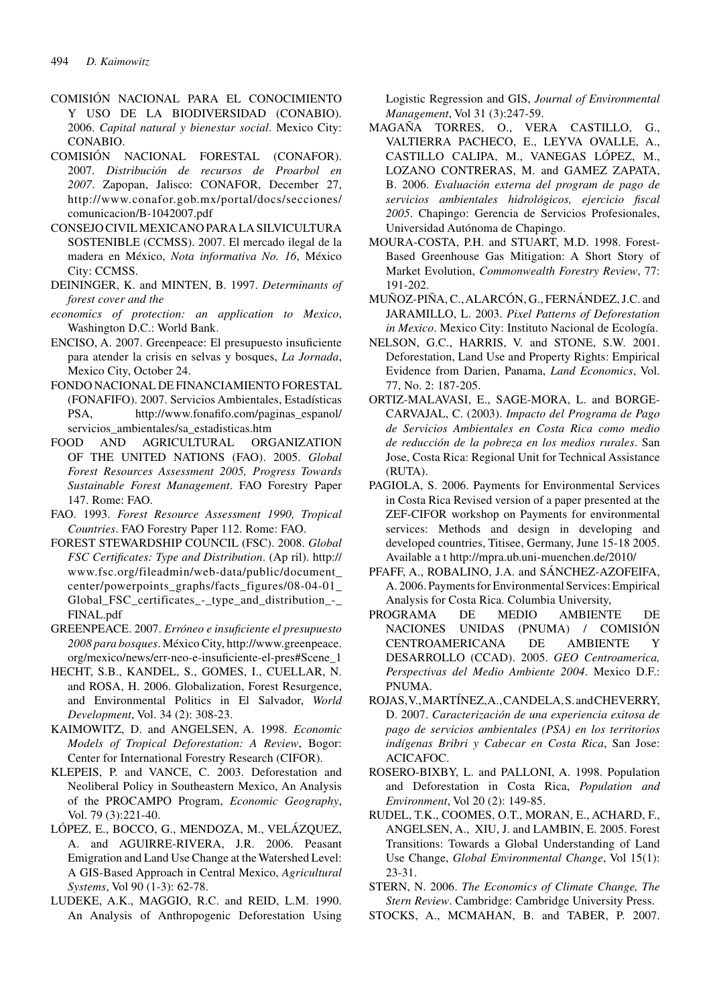- COMISIÓN NACIONAL PARA EL CONOCIMIENTO Y USO DE LA BIODIVERSIDAD (CONABIO). 2006. *Capital natural y bienestar social*. Mexico City: CONABIO.
- COMISIÓN NACIONAL FORESTAL (CONAFOR). 2007. *Distribución de recursos de Proarbol en 2007*. Zapopan, Jalisco: CONAFOR, December 27, http://www.conafor.gob.mx/portal/docs/secciones/ comunicacion/B-1042007.pdf
- CONSEJO CIVIL MEXICANO PARA LA SILVICULTURA SOSTENIBLE (CCMSS). 2007. El mercado ilegal de la madera en México, *Nota informativa No. 16*, México City: CCMSS.
- DEININGER, K. and MINTEN, B. 1997. *Determinants of forest cover and the*
- *economics of protection: an application to Mexico*, Washington D.C.: World Bank.
- ENCISO, A. 2007. Greenpeace: El presupuesto insuficiente para atender la crisis en selvas y bosques, *La Jornada*, Mexico City, October 24.
- FONDO NACIONAL DE FINANCIAMIENTO FORESTAL (FONAFIFO). 2007. Servicios Ambientales, Estadísticas PSA, http://www.fonafifo.com/paginas\_espanol/ servicios ambientales/sa estadisticas.htm
- FOOD AND AGRICULTURAL ORGANIZATION OF THE UNITED NATIONS (FAO). 2005. *Global Forest Resources Assessment 2005, Progress Towards Sustainable Forest Management*. FAO Forestry Paper 147. Rome: FAO.
- FAO. 1993. *Forest Resource Assessment 1990, Tropical Countries*. FAO Forestry Paper 112. Rome: FAO.
- FOREST STEWARDSHIP COUNCIL (FSC). 2008. *Global FSC Certificates: Type and Distribution.* (Ap ril). http:// www.fsc.org/fileadmin/web-data/public/document\_ center/powerpoints\_graphs/facts\_figures/08-04-01\_ Global\_FSC\_certificates\_-\_type\_and\_distribution\_-\_ FINAL.pdf
- GREENPEACE. 2007. *Erróneo e insuficiente el presupuesto 2008 para bosques*. México City, http://www.greenpeace. org/mexico/news/err-neo-e-insuficiente-el-pres#Scene\_1
- HECHT, S.B., KANDEL, S., GOMES, I., CUELLAR, N. and ROSA, H. 2006. Globalization, Forest Resurgence, and Environmental Politics in El Salvador, *World Development*, Vol. 34 (2): 308-23.
- KAIMOWITZ, D. and ANGELSEN, A. 1998. *Economic Models of Tropical Deforestation: A Review*, Bogor: Center for International Forestry Research (CIFOR).
- KLEPEIS, P. and VANCE, C. 2003. Deforestation and Neoliberal Policy in Southeastern Mexico, An Analysis of the PROCAMPO Program, *Economic Geography*, Vol. 79 (3):221-40.
- LÓPEZ, E., BOCCO, G., MENDOZA, M., VELÁZQUEZ, A. and AGUIRRE-RIVERA, J.R. 2006. Peasant Emigration and Land Use Change at the Watershed Level: A GIS-Based Approach in Central Mexico, *Agricultural Systems*, Vol 90 (1-3): 62-78.
- LUDEKE, A.K., MAGGIO, R.C. and REID, L.M. 1990. An Analysis of Anthropogenic Deforestation Using

Logistic Regression and GIS, *Journal of Environmental Management*, Vol 31 (3):247-59.

- MAGAÑA TORRES, O., VERA CASTILLO, G., VALTIERRA PACHECO, E., LEYVA OVALLE, A., CASTILLO CALIPA, M., VANEGAS LÓPEZ, M., LOZANO CONTRERAS, M. and GAMEZ ZAPATA, B. 2006. *Evaluación externa del program de pago de*  servicios ambientales hidrológicos, ejercicio fiscal *2005*. Chapingo: Gerencia de Servicios Profesionales, Universidad Autónoma de Chapingo.
- MOURA-COSTA, P.H. and STUART, M.D. 1998. Forest-Based Greenhouse Gas Mitigation: A Short Story of Market Evolution, *Commonwealth Forestry Review*, 77: 191-202.
- MUÑOZ-PIÑA, C., ALARCÓN, G., FERNÁNDEZ, J.C. and JARAMILLO, L. 2003. *Pixel Patterns of Deforestation in Mexico*. Mexico City: Instituto Nacional de Ecología.
- NELSON, G.C., HARRIS, V. and STONE, S.W. 2001. Deforestation, Land Use and Property Rights: Empirical Evidence from Darien, Panama, *Land Economics*, Vol. 77, No. 2: 187-205.
- ORTIZ-MALAVASI, E., SAGE-MORA, L. and BORGE-CARVAJAL, C. (2003). *Impacto del Programa de Pago de Servicios Ambientales en Costa Rica como medio de reducción de la pobreza en los medios rurales*. San Jose, Costa Rica: Regional Unit for Technical Assistance (RUTA).
- PAGIOLA, S. 2006. Payments for Environmental Services in Costa Rica Revised version of a paper presented at the ZEF-CIFOR workshop on Payments for environmental services: Methods and design in developing and developed countries, Titisee, Germany, June 15-18 2005. Available a t http://mpra.ub.uni-muenchen.de/2010/
- PFAFF, A., ROBALINO, J.A. and SÁNCHEZ-AZOFEIFA, A. 2006. Payments for Environmental Services: Empirical Analysis for Costa Rica. Columbia University,
- PROGRAMA DE MEDIO AMBIENTE DE NACIONES UNIDAS (PNUMA) / COMISIÓN CENTROAMERICANA DE AMBIENTE Y DESARROLLO (CCAD). 2005. *GEO Centroamerica, Perspectivas del Medio Ambiente 2004*. Mexico D.F.: PNUMA.
- ROJAS, V., MARTÍNEZ, A., CANDELA, S. and CHEVERRY, D. 2007. *Caracterización de una experiencia exitosa de pago de servicios ambientales (PSA) en los territorios indígenas Bribri y Cabecar en Costa Rica*, San Jose: ACICAFOC.
- ROSERO-BIXBY, L. and PALLONI, A. 1998. Population and Deforestation in Costa Rica, *Population and Environment*, Vol 20 (2): 149-85.
- RUDEL, T.K., COOMES, O.T., MORAN, E., ACHARD, F., ANGELSEN, A., XIU, J. and LAMBIN, E. 2005. Forest Transitions: Towards a Global Understanding of Land Use Change, *Global Environmental Change*, Vol 15(1): 23-31.
- STERN, N. 2006. *The Economics of Climate Change, The Stern Review*. Cambridge: Cambridge University Press.
- STOCKS, A., MCMAHAN, B. and TABER, P. 2007.